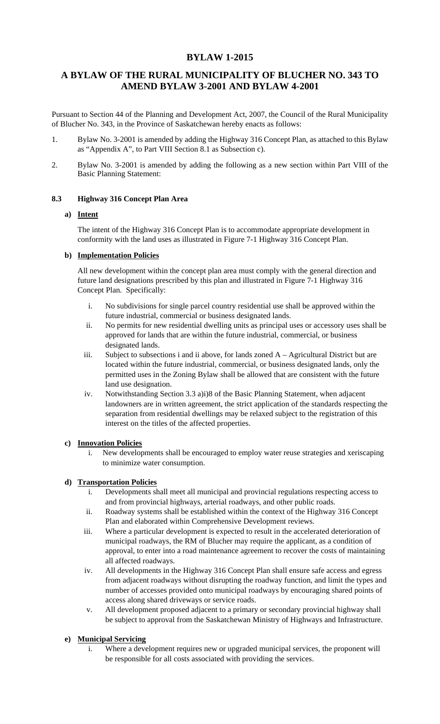# **BYLAW 1-2015**

# **A BYLAW OF THE RURAL MUNICIPALITY OF BLUCHER NO. 343 TO AMEND BYLAW 3-2001 AND BYLAW 4-2001**

Pursuant to Section 44 of the Planning and Development Act, 2007, the Council of the Rural Municipality of Blucher No. 343, in the Province of Saskatchewan hereby enacts as follows:

- 1. Bylaw No. 3-2001 is amended by adding the Highway 316 Concept Plan, as attached to this Bylaw as "Appendix A", to Part VIII Section 8.1 as Subsection c).
- 2. Bylaw No. 3-2001 is amended by adding the following as a new section within Part VIII of the Basic Planning Statement:

### **8.3 Highway 316 Concept Plan Area**

#### **a) Intent**

The intent of the Highway 316 Concept Plan is to accommodate appropriate development in conformity with the land uses as illustrated in Figure 7-1 Highway 316 Concept Plan.

### **b) Implementation Policies**

All new development within the concept plan area must comply with the general direction and future land designations prescribed by this plan and illustrated in Figure 7-1 Highway 316 Concept Plan. Specifically:

- i. No subdivisions for single parcel country residential use shall be approved within the future industrial, commercial or business designated lands.
- ii. No permits for new residential dwelling units as principal uses or accessory uses shall be approved for lands that are within the future industrial, commercial, or business designated lands.
- iii. Subject to subsections i and ii above, for lands zoned  $A -$  Agricultural District but are located within the future industrial, commercial, or business designated lands, only the permitted uses in the Zoning Bylaw shall be allowed that are consistent with the future land use designation.
- iv. Notwithstanding Section 3.3 a)i)8 of the Basic Planning Statement, when adjacent landowners are in written agreement, the strict application of the standards respecting the separation from residential dwellings may be relaxed subject to the registration of this interest on the titles of the affected properties.

#### **c) Innovation Policies**

i. New developments shall be encouraged to employ water reuse strategies and xeriscaping to minimize water consumption.

# **d) Transportation Policies**

- i. Developments shall meet all municipal and provincial regulations respecting access to and from provincial highways, arterial roadways, and other public roads.
- ii. Roadway systems shall be established within the context of the Highway 316 Concept Plan and elaborated within Comprehensive Development reviews.
- iii. Where a particular development is expected to result in the accelerated deterioration of municipal roadways, the RM of Blucher may require the applicant, as a condition of approval, to enter into a road maintenance agreement to recover the costs of maintaining all affected roadways.
- iv. All developments in the Highway 316 Concept Plan shall ensure safe access and egress from adjacent roadways without disrupting the roadway function, and limit the types and number of accesses provided onto municipal roadways by encouraging shared points of access along shared driveways or service roads.
- v. All development proposed adjacent to a primary or secondary provincial highway shall be subject to approval from the Saskatchewan Ministry of Highways and Infrastructure.

# **e) Municipal Servicing**

i. Where a development requires new or upgraded municipal services, the proponent will be responsible for all costs associated with providing the services.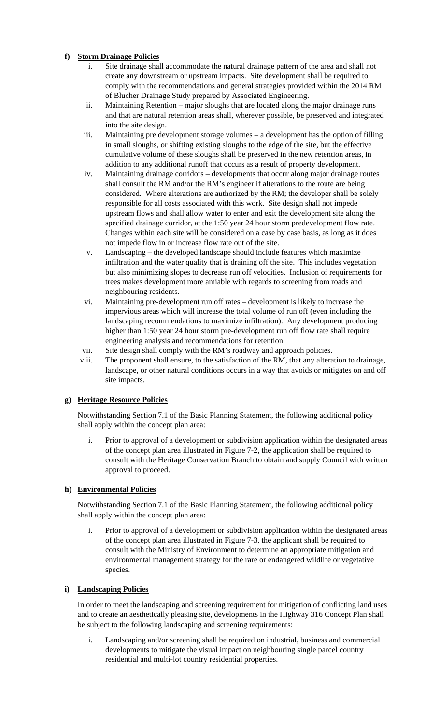# **f) Storm Drainage Policies**

- i. Site drainage shall accommodate the natural drainage pattern of the area and shall not create any downstream or upstream impacts. Site development shall be required to comply with the recommendations and general strategies provided within the 2014 RM of Blucher Drainage Study prepared by Associated Engineering.
- ii. Maintaining Retention major sloughs that are located along the major drainage runs and that are natural retention areas shall, wherever possible, be preserved and integrated into the site design.
- iii. Maintaining pre development storage volumes a development has the option of filling in small sloughs, or shifting existing sloughs to the edge of the site, but the effective cumulative volume of these sloughs shall be preserved in the new retention areas, in addition to any additional runoff that occurs as a result of property development.
- iv. Maintaining drainage corridors developments that occur along major drainage routes shall consult the RM and/or the RM's engineer if alterations to the route are being considered. Where alterations are authorized by the RM; the developer shall be solely responsible for all costs associated with this work. Site design shall not impede upstream flows and shall allow water to enter and exit the development site along the specified drainage corridor, at the 1:50 year 24 hour storm predevelopment flow rate. Changes within each site will be considered on a case by case basis, as long as it does not impede flow in or increase flow rate out of the site.
- v. Landscaping the developed landscape should include features which maximize infiltration and the water quality that is draining off the site. This includes vegetation but also minimizing slopes to decrease run off velocities. Inclusion of requirements for trees makes development more amiable with regards to screening from roads and neighbouring residents.
- vi. Maintaining pre-development run off rates development is likely to increase the impervious areas which will increase the total volume of run off (even including the landscaping recommendations to maximize infiltration). Any development producing higher than 1:50 year 24 hour storm pre-development run off flow rate shall require engineering analysis and recommendations for retention.
- vii. Site design shall comply with the RM's roadway and approach policies.
- viii. The proponent shall ensure, to the satisfaction of the RM, that any alteration to drainage, landscape, or other natural conditions occurs in a way that avoids or mitigates on and off site impacts.

# **g) Heritage Resource Policies**

Notwithstanding Section 7.1 of the Basic Planning Statement, the following additional policy shall apply within the concept plan area:

i. Prior to approval of a development or subdivision application within the designated areas of the concept plan area illustrated in Figure 7-2, the application shall be required to consult with the Heritage Conservation Branch to obtain and supply Council with written approval to proceed.

# **h) Environmental Policies**

Notwithstanding Section 7.1 of the Basic Planning Statement, the following additional policy shall apply within the concept plan area:

i. Prior to approval of a development or subdivision application within the designated areas of the concept plan area illustrated in Figure 7-3, the applicant shall be required to consult with the Ministry of Environment to determine an appropriate mitigation and environmental management strategy for the rare or endangered wildlife or vegetative species.

# **i) Landscaping Policies**

In order to meet the landscaping and screening requirement for mitigation of conflicting land uses and to create an aesthetically pleasing site, developments in the Highway 316 Concept Plan shall be subject to the following landscaping and screening requirements:

i. Landscaping and/or screening shall be required on industrial, business and commercial developments to mitigate the visual impact on neighbouring single parcel country residential and multi-lot country residential properties.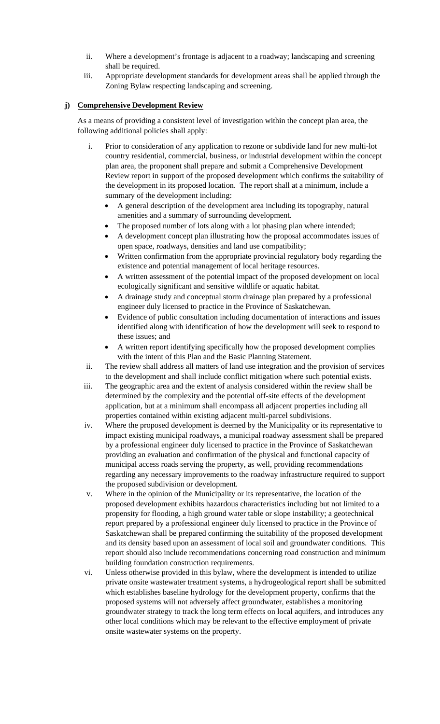- ii. Where a development's frontage is adjacent to a roadway; landscaping and screening shall be required.
- iii. Appropriate development standards for development areas shall be applied through the Zoning Bylaw respecting landscaping and screening.

### **j) Comprehensive Development Review**

As a means of providing a consistent level of investigation within the concept plan area, the following additional policies shall apply:

- i. Prior to consideration of any application to rezone or subdivide land for new multi-lot country residential, commercial, business, or industrial development within the concept plan area, the proponent shall prepare and submit a Comprehensive Development Review report in support of the proposed development which confirms the suitability of the development in its proposed location. The report shall at a minimum, include a summary of the development including:
	- A general description of the development area including its topography, natural amenities and a summary of surrounding development.
	- The proposed number of lots along with a lot phasing plan where intended;
	- A development concept plan illustrating how the proposal accommodates issues of open space, roadways, densities and land use compatibility;
	- Written confirmation from the appropriate provincial regulatory body regarding the existence and potential management of local heritage resources.
	- A written assessment of the potential impact of the proposed development on local ecologically significant and sensitive wildlife or aquatic habitat.
	- A drainage study and conceptual storm drainage plan prepared by a professional engineer duly licensed to practice in the Province of Saskatchewan.
	- Evidence of public consultation including documentation of interactions and issues identified along with identification of how the development will seek to respond to these issues; and
	- A written report identifying specifically how the proposed development complies with the intent of this Plan and the Basic Planning Statement.
- ii. The review shall address all matters of land use integration and the provision of services to the development and shall include conflict mitigation where such potential exists.
- iii. The geographic area and the extent of analysis considered within the review shall be determined by the complexity and the potential off-site effects of the development application, but at a minimum shall encompass all adjacent properties including all properties contained within existing adjacent multi-parcel subdivisions.
- iv. Where the proposed development is deemed by the Municipality or its representative to impact existing municipal roadways, a municipal roadway assessment shall be prepared by a professional engineer duly licensed to practice in the Province of Saskatchewan providing an evaluation and confirmation of the physical and functional capacity of municipal access roads serving the property, as well, providing recommendations regarding any necessary improvements to the roadway infrastructure required to support the proposed subdivision or development.
- v. Where in the opinion of the Municipality or its representative, the location of the proposed development exhibits hazardous characteristics including but not limited to a propensity for flooding, a high ground water table or slope instability; a geotechnical report prepared by a professional engineer duly licensed to practice in the Province of Saskatchewan shall be prepared confirming the suitability of the proposed development and its density based upon an assessment of local soil and groundwater conditions. This report should also include recommendations concerning road construction and minimum building foundation construction requirements.
- vi. Unless otherwise provided in this bylaw, where the development is intended to utilize private onsite wastewater treatment systems, a hydrogeological report shall be submitted which establishes baseline hydrology for the development property, confirms that the proposed systems will not adversely affect groundwater, establishes a monitoring groundwater strategy to track the long term effects on local aquifers, and introduces any other local conditions which may be relevant to the effective employment of private onsite wastewater systems on the property.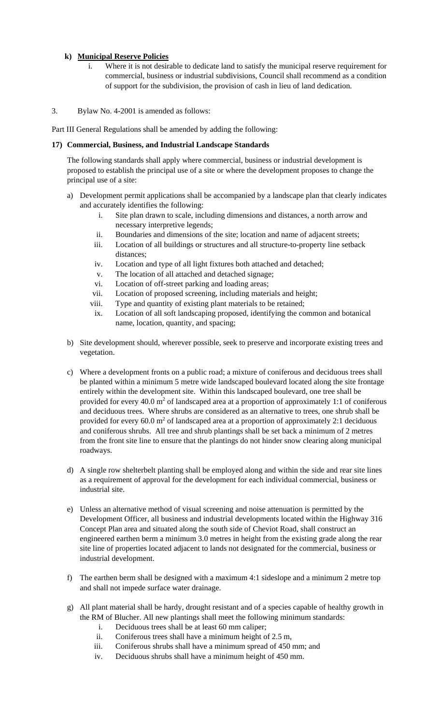### **k) Municipal Reserve Policies**

i. Where it is not desirable to dedicate land to satisfy the municipal reserve requirement for commercial, business or industrial subdivisions, Council shall recommend as a condition of support for the subdivision, the provision of cash in lieu of land dedication.

3. Bylaw No. 4-2001 is amended as follows:

Part III General Regulations shall be amended by adding the following:

### **17) Commercial, Business, and Industrial Landscape Standards**

The following standards shall apply where commercial, business or industrial development is proposed to establish the principal use of a site or where the development proposes to change the principal use of a site:

- a) Development permit applications shall be accompanied by a landscape plan that clearly indicates and accurately identifies the following:
	- i. Site plan drawn to scale, including dimensions and distances, a north arrow and necessary interpretive legends;
	- ii. Boundaries and dimensions of the site; location and name of adjacent streets;
	- iii. Location of all buildings or structures and all structure-to-property line setback distances;
	- iv. Location and type of all light fixtures both attached and detached;
	- v. The location of all attached and detached signage;
	- vi. Location of off-street parking and loading areas;
	- vii. Location of proposed screening, including materials and height;
	- viii. Type and quantity of existing plant materials to be retained;
	- ix. Location of all soft landscaping proposed, identifying the common and botanical name, location, quantity, and spacing;
- b) Site development should, wherever possible, seek to preserve and incorporate existing trees and vegetation.
- c) Where a development fronts on a public road; a mixture of coniferous and deciduous trees shall be planted within a minimum 5 metre wide landscaped boulevard located along the site frontage entirely within the development site. Within this landscaped boulevard, one tree shall be provided for every 40.0  $m^2$  of landscaped area at a proportion of approximately 1:1 of coniferous and deciduous trees. Where shrubs are considered as an alternative to trees, one shrub shall be provided for every 60.0  $m^2$  of landscaped area at a proportion of approximately 2:1 deciduous and coniferous shrubs. All tree and shrub plantings shall be set back a minimum of 2 metres from the front site line to ensure that the plantings do not hinder snow clearing along municipal roadways.
- d) A single row shelterbelt planting shall be employed along and within the side and rear site lines as a requirement of approval for the development for each individual commercial, business or industrial site.
- e) Unless an alternative method of visual screening and noise attenuation is permitted by the Development Officer, all business and industrial developments located within the Highway 316 Concept Plan area and situated along the south side of Cheviot Road, shall construct an engineered earthen berm a minimum 3.0 metres in height from the existing grade along the rear site line of properties located adjacent to lands not designated for the commercial, business or industrial development.
- f) The earthen berm shall be designed with a maximum 4:1 sideslope and a minimum 2 metre top and shall not impede surface water drainage.
- g) All plant material shall be hardy, drought resistant and of a species capable of healthy growth in the RM of Blucher. All new plantings shall meet the following minimum standards:
	- i. Deciduous trees shall be at least 60 mm caliper;
	- ii. Coniferous trees shall have a minimum height of 2.5 m,
	- iii. Coniferous shrubs shall have a minimum spread of 450 mm; and
	- iv. Deciduous shrubs shall have a minimum height of 450 mm.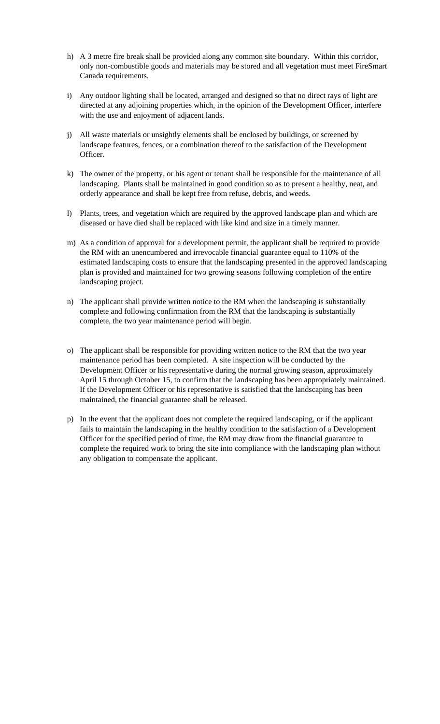- h) A 3 metre fire break shall be provided along any common site boundary. Within this corridor, only non-combustible goods and materials may be stored and all vegetation must meet FireSmart Canada requirements.
- i) Any outdoor lighting shall be located, arranged and designed so that no direct rays of light are directed at any adjoining properties which, in the opinion of the Development Officer, interfere with the use and enjoyment of adjacent lands.
- j) All waste materials or unsightly elements shall be enclosed by buildings, or screened by landscape features, fences, or a combination thereof to the satisfaction of the Development Officer.
- k) The owner of the property, or his agent or tenant shall be responsible for the maintenance of all landscaping. Plants shall be maintained in good condition so as to present a healthy, neat, and orderly appearance and shall be kept free from refuse, debris, and weeds.
- l) Plants, trees, and vegetation which are required by the approved landscape plan and which are diseased or have died shall be replaced with like kind and size in a timely manner.
- m) As a condition of approval for a development permit, the applicant shall be required to provide the RM with an unencumbered and irrevocable financial guarantee equal to 110% of the estimated landscaping costs to ensure that the landscaping presented in the approved landscaping plan is provided and maintained for two growing seasons following completion of the entire landscaping project.
- n) The applicant shall provide written notice to the RM when the landscaping is substantially complete and following confirmation from the RM that the landscaping is substantially complete, the two year maintenance period will begin.
- o) The applicant shall be responsible for providing written notice to the RM that the two year maintenance period has been completed. A site inspection will be conducted by the Development Officer or his representative during the normal growing season, approximately April 15 through October 15, to confirm that the landscaping has been appropriately maintained. If the Development Officer or his representative is satisfied that the landscaping has been maintained, the financial guarantee shall be released.
- p) In the event that the applicant does not complete the required landscaping, or if the applicant fails to maintain the landscaping in the healthy condition to the satisfaction of a Development Officer for the specified period of time, the RM may draw from the financial guarantee to complete the required work to bring the site into compliance with the landscaping plan without any obligation to compensate the applicant.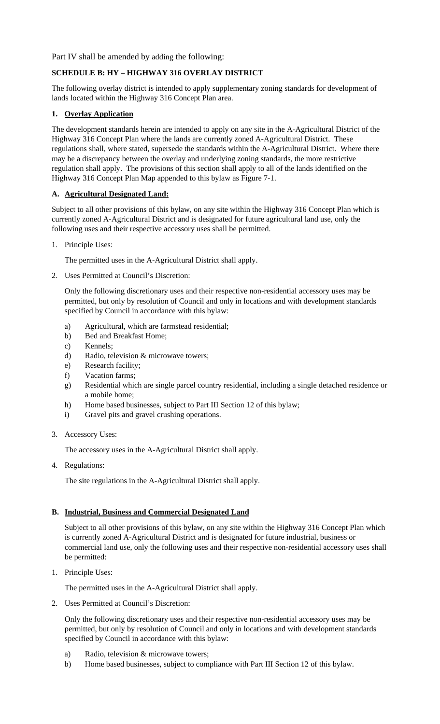Part IV shall be amended by adding the following:

# **SCHEDULE B: HY – HIGHWAY 316 OVERLAY DISTRICT**

The following overlay district is intended to apply supplementary zoning standards for development of lands located within the Highway 316 Concept Plan area.

# **1. Overlay Application**

The development standards herein are intended to apply on any site in the A-Agricultural District of the Highway 316 Concept Plan where the lands are currently zoned A-Agricultural District. These regulations shall, where stated, supersede the standards within the A-Agricultural District. Where there may be a discrepancy between the overlay and underlying zoning standards, the more restrictive regulation shall apply. The provisions of this section shall apply to all of the lands identified on the Highway 316 Concept Plan Map appended to this bylaw as Figure 7-1.

### **A. Agricultural Designated Land:**

Subject to all other provisions of this bylaw, on any site within the Highway 316 Concept Plan which is currently zoned A-Agricultural District and is designated for future agricultural land use, only the following uses and their respective accessory uses shall be permitted.

1. Principle Uses:

The permitted uses in the A-Agricultural District shall apply.

2. Uses Permitted at Council's Discretion:

Only the following discretionary uses and their respective non-residential accessory uses may be permitted, but only by resolution of Council and only in locations and with development standards specified by Council in accordance with this bylaw:

- a) Agricultural, which are farmstead residential;
- b) Bed and Breakfast Home;
- c) Kennels;
- d) Radio, television & microwave towers;
- e) Research facility;
- f) Vacation farms;
- g) Residential which are single parcel country residential, including a single detached residence or a mobile home;
- h) Home based businesses, subject to Part III Section 12 of this bylaw;
- i) Gravel pits and gravel crushing operations.
- 3. Accessory Uses:

The accessory uses in the A-Agricultural District shall apply.

4. Regulations:

The site regulations in the A-Agricultural District shall apply.

# **B. Industrial, Business and Commercial Designated Land**

Subject to all other provisions of this bylaw, on any site within the Highway 316 Concept Plan which is currently zoned A-Agricultural District and is designated for future industrial, business or commercial land use, only the following uses and their respective non-residential accessory uses shall be permitted:

1. Principle Uses:

The permitted uses in the A-Agricultural District shall apply.

2. Uses Permitted at Council's Discretion:

Only the following discretionary uses and their respective non-residential accessory uses may be permitted, but only by resolution of Council and only in locations and with development standards specified by Council in accordance with this bylaw:

- a) Radio, television & microwave towers;
- b) Home based businesses, subject to compliance with Part III Section 12 of this bylaw.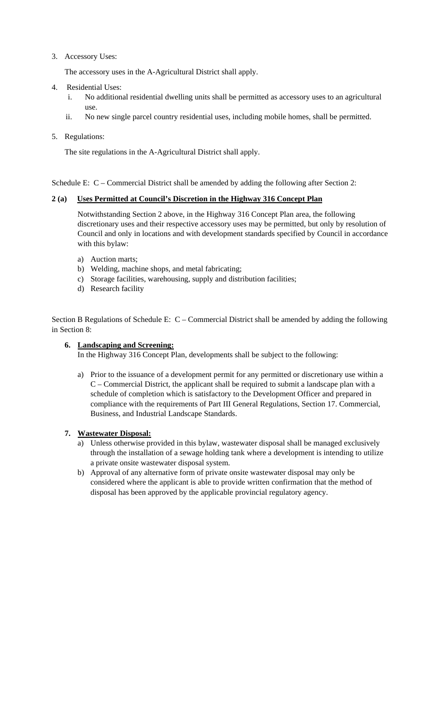# 3. Accessory Uses:

The accessory uses in the A-Agricultural District shall apply.

- 4. Residential Uses:
	- i. No additional residential dwelling units shall be permitted as accessory uses to an agricultural use.
	- ii. No new single parcel country residential uses, including mobile homes, shall be permitted.
- 5. Regulations:

The site regulations in the A-Agricultural District shall apply.

Schedule E: C – Commercial District shall be amended by adding the following after Section 2:

### **2 (a) Uses Permitted at Council's Discretion in the Highway 316 Concept Plan**

 Notwithstanding Section 2 above, in the Highway 316 Concept Plan area, the following discretionary uses and their respective accessory uses may be permitted, but only by resolution of Council and only in locations and with development standards specified by Council in accordance with this bylaw:

- a) Auction marts;
- b) Welding, machine shops, and metal fabricating;
- c) Storage facilities, warehousing, supply and distribution facilities;
- d) Research facility

Section B Regulations of Schedule E: C – Commercial District shall be amended by adding the following in Section 8:

### **6. Landscaping and Screening:**

In the Highway 316 Concept Plan, developments shall be subject to the following:

a) Prior to the issuance of a development permit for any permitted or discretionary use within a C – Commercial District, the applicant shall be required to submit a landscape plan with a schedule of completion which is satisfactory to the Development Officer and prepared in compliance with the requirements of Part III General Regulations, Section 17. Commercial, Business, and Industrial Landscape Standards.

#### **7. Wastewater Disposal:**

- a) Unless otherwise provided in this bylaw, wastewater disposal shall be managed exclusively through the installation of a sewage holding tank where a development is intending to utilize a private onsite wastewater disposal system.
- b) Approval of any alternative form of private onsite wastewater disposal may only be considered where the applicant is able to provide written confirmation that the method of disposal has been approved by the applicable provincial regulatory agency.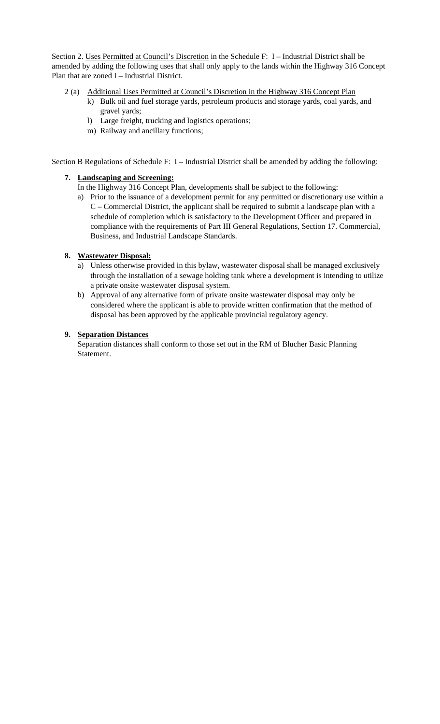Section 2. Uses Permitted at Council's Discretion in the Schedule F: I – Industrial District shall be amended by adding the following uses that shall only apply to the lands within the Highway 316 Concept Plan that are zoned I – Industrial District.

- 2 (a) Additional Uses Permitted at Council's Discretion in the Highway 316 Concept Plan
	- k) Bulk oil and fuel storage yards, petroleum products and storage yards, coal yards, and gravel yards;
	- l) Large freight, trucking and logistics operations;
	- m) Railway and ancillary functions;

Section B Regulations of Schedule F: I – Industrial District shall be amended by adding the following:

#### **7. Landscaping and Screening:**

In the Highway 316 Concept Plan, developments shall be subject to the following:

a) Prior to the issuance of a development permit for any permitted or discretionary use within a C – Commercial District, the applicant shall be required to submit a landscape plan with a schedule of completion which is satisfactory to the Development Officer and prepared in compliance with the requirements of Part III General Regulations, Section 17. Commercial, Business, and Industrial Landscape Standards.

### **8. Wastewater Disposal:**

- a) Unless otherwise provided in this bylaw, wastewater disposal shall be managed exclusively through the installation of a sewage holding tank where a development is intending to utilize a private onsite wastewater disposal system.
- b) Approval of any alternative form of private onsite wastewater disposal may only be considered where the applicant is able to provide written confirmation that the method of disposal has been approved by the applicable provincial regulatory agency.

### **9. Separation Distances**

Separation distances shall conform to those set out in the RM of Blucher Basic Planning Statement.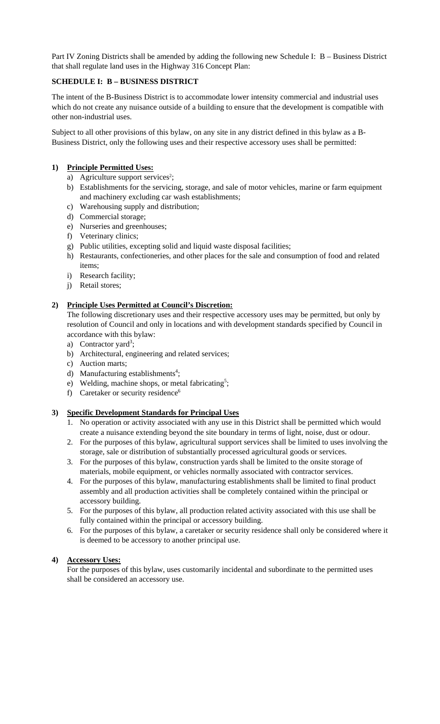Part IV Zoning Districts shall be amended by adding the following new Schedule I: B – Business District that shall regulate land uses in the Highway 316 Concept Plan:

### **SCHEDULE I: B – BUSINESS DISTRICT**

The intent of the B-Business District is to accommodate lower intensity commercial and industrial uses which do not create any nuisance outside of a building to ensure that the development is compatible with other non-industrial uses.

Subject to all other provisions of this bylaw, on any site in any district defined in this bylaw as a B-Business District, only the following uses and their respective accessory uses shall be permitted:

#### **1) Principle Permitted Uses:**

- a) Agriculture support services<sup>2</sup>;
- b) Establishments for the servicing, storage, and sale of motor vehicles, marine or farm equipment and machinery excluding car wash establishments;
- c) Warehousing supply and distribution;
- d) Commercial storage;
- e) Nurseries and greenhouses;
- f) Veterinary clinics;
- g) Public utilities, excepting solid and liquid waste disposal facilities;
- h) Restaurants, confectioneries, and other places for the sale and consumption of food and related items;
- i) Research facility;
- j) Retail stores;

### **2) Principle Uses Permitted at Council's Discretion:**

The following discretionary uses and their respective accessory uses may be permitted, but only by resolution of Council and only in locations and with development standards specified by Council in accordance with this bylaw:

- a) Contractor yard<sup>3</sup>;
- b) Architectural, engineering and related services;
- c) Auction marts;
- d) Manufacturing establishments<sup>4</sup>;
- e) Welding, machine shops, or metal fabricating<sup>5</sup>;
- f) Caretaker or security residence<sup>6</sup>

#### **3) Specific Development Standards for Principal Uses**

- 1. No operation or activity associated with any use in this District shall be permitted which would create a nuisance extending beyond the site boundary in terms of light, noise, dust or odour.
- 2. For the purposes of this bylaw, agricultural support services shall be limited to uses involving the storage, sale or distribution of substantially processed agricultural goods or services.
- 3. For the purposes of this bylaw, construction yards shall be limited to the onsite storage of materials, mobile equipment, or vehicles normally associated with contractor services.
- 4. For the purposes of this bylaw, manufacturing establishments shall be limited to final product assembly and all production activities shall be completely contained within the principal or accessory building.
- 5. For the purposes of this bylaw, all production related activity associated with this use shall be fully contained within the principal or accessory building.
- 6. For the purposes of this bylaw, a caretaker or security residence shall only be considered where it is deemed to be accessory to another principal use.

#### **4) Accessory Uses:**

For the purposes of this bylaw, uses customarily incidental and subordinate to the permitted uses shall be considered an accessory use.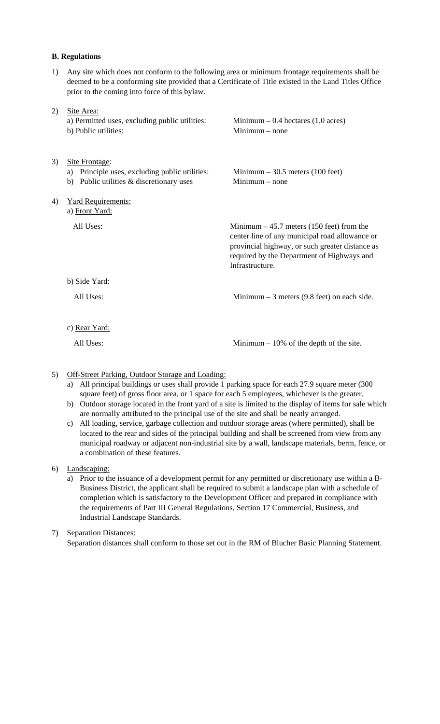#### **B. Regulations**

1) Any site which does not conform to the following area or minimum frontage requirements shall be deemed to be a conforming site provided that a Certificate of Title existed in the Land Titles Office prior to the coming into force of this bylaw.

| 2) | Site Area:<br>a) Permitted uses, excluding public utilities:<br>b) Public utilities:                               | Minimum $-0.4$ hectares (1.0 acres)<br>$Minimum - none$                                                                                                                                                          |
|----|--------------------------------------------------------------------------------------------------------------------|------------------------------------------------------------------------------------------------------------------------------------------------------------------------------------------------------------------|
| 3) | Site Frontage:<br>Principle uses, excluding public utilities:<br>a)<br>Public utilities & discretionary uses<br>b) | Minimum $-30.5$ meters (100 feet)<br>$Minimum - none$                                                                                                                                                            |
| 4) | <b>Yard Requirements:</b><br>a) Front Yard:                                                                        |                                                                                                                                                                                                                  |
|    | All Uses:                                                                                                          | Minimum $-45.7$ meters (150 feet) from the<br>center line of any municipal road allowance or<br>provincial highway, or such greater distance as<br>required by the Department of Highways and<br>Infrastructure. |
|    | b) Side Yard:                                                                                                      |                                                                                                                                                                                                                  |
|    | All Uses:                                                                                                          | Minimum $-3$ meters (9.8 feet) on each side.                                                                                                                                                                     |
|    | c) Rear Yard:                                                                                                      |                                                                                                                                                                                                                  |
|    | All Uses:                                                                                                          | Minimum $-10\%$ of the depth of the site.                                                                                                                                                                        |

### 5) Off-Street Parking, Outdoor Storage and Loading:

- a) All principal buildings or uses shall provide 1 parking space for each 27.9 square meter (300 square feet) of gross floor area, or 1 space for each 5 employees, whichever is the greater.
- b) Outdoor storage located in the front yard of a site is limited to the display of items for sale which are normally attributed to the principal use of the site and shall be neatly arranged.
- c) All loading, service, garbage collection and outdoor storage areas (where permitted), shall be located to the rear and sides of the principal building and shall be screened from view from any municipal roadway or adjacent non-industrial site by a wall, landscape materials, berm, fence, or a combination of these features.

6) Landscaping:

a) Prior to the issuance of a development permit for any permitted or discretionary use within a B-Business District, the applicant shall be required to submit a landscape plan with a schedule of completion which is satisfactory to the Development Officer and prepared in compliance with the requirements of Part III General Regulations, Section 17 Commercial, Business, and Industrial Landscape Standards.

#### 7) Separation Distances:

Separation distances shall conform to those set out in the RM of Blucher Basic Planning Statement.